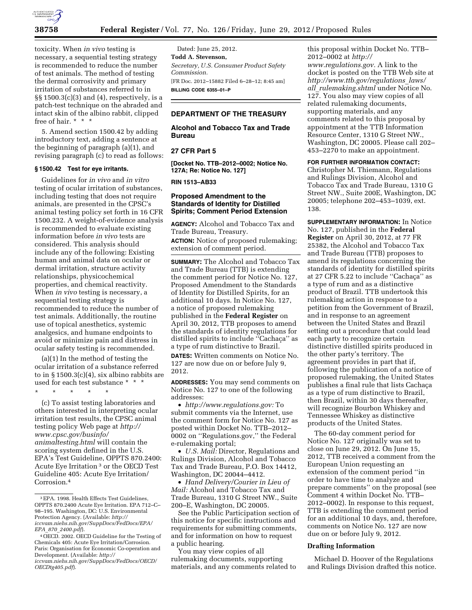

toxicity. When *in vivo* testing is necessary, a sequential testing strategy is recommended to reduce the number of test animals. The method of testing the dermal corrosivity and primary irritation of substances referred to in §§ 1500.3(c)(3) and (4), respectively, is a patch-test technique on the abraded and intact skin of the albino rabbit, clipped free of hair. \* \* \*

5. Amend section 1500.42 by adding introductory text, adding a sentence at the beginning of paragraph (a)(1), and revising paragraph (c) to read as follows:

### **§ 1500.42 Test for eye irritants.**

Guidelines for *in vivo* and *in vitro*  testing of ocular irritation of substances, including testing that does not require animals, are presented in the CPSC's animal testing policy set forth in 16 CFR 1500.232. A weight-of-evidence analysis is recommended to evaluate existing information before *in vivo* tests are considered. This analysis should include any of the following: Existing human and animal data on ocular or dermal irritation, structure activity relationships, physicochemical properties, and chemical reactivity. When *in vivo* testing is necessary, a sequential testing strategy is recommended to reduce the number of test animals. Additionally, the routine use of topical anesthetics, systemic analgesics, and humane endpoints to avoid or minimize pain and distress in ocular safety testing is recommended.

(a)(1) In the method of testing the ocular irritation of a substance referred to in  $\S 1500.3(c)(4)$ , six albino rabbits are used for each test substance \* \* \*

\* \* \* \* \*

(c) To assist testing laboratories and others interested in interpreting ocular irritation test results, the CPSC animal testing policy Web page at *[http://](http://www.cpsc.gov/businfo/animaltesting.html) [www.cpsc.gov/businfo/](http://www.cpsc.gov/businfo/animaltesting.html) [animaltesting.html](http://www.cpsc.gov/businfo/animaltesting.html)* will contain the scoring system defined in the U.S. EPA's Test Guideline, OPPTS 870.2400: Acute Eye Irritation 3 or the OECD Test Guideline 405: Acute Eye Irritation/ Corrosion.4

Dated: June 25, 2012. **Todd A. Stevenson,**  *Secretary, U.S. Consumer Product Safety Commission.*  [FR Doc. 2012–15882 Filed 6–28–12; 8:45 am] **BILLING CODE 6355–01–P** 

# **DEPARTMENT OF THE TREASURY**

**Alcohol and Tobacco Tax and Trade Bureau** 

# **27 CFR Part 5**

**[Docket No. TTB–2012–0002; Notice No. 127A; Re: Notice No. 127]** 

**RIN 1513–AB33** 

### **Proposed Amendment to the Standards of Identity for Distilled Spirits; Comment Period Extension**

**AGENCY:** Alcohol and Tobacco Tax and Trade Bureau, Treasury.

**ACTION:** Notice of proposed rulemaking; extension of comment period.

**SUMMARY:** The Alcohol and Tobacco Tax and Trade Bureau (TTB) is extending the comment period for Notice No. 127, Proposed Amendment to the Standards of Identity for Distilled Spirits, for an additional 10 days. In Notice No. 127, a notice of proposed rulemaking published in the **Federal Register** on April 30, 2012, TTB proposes to amend the standards of identity regulations for distilled spirits to include "Cachaça" as a type of rum distinctive to Brazil.

**DATES:** Written comments on Notice No. 127 are now due on or before July 9, 2012.

**ADDRESSES:** You may send comments on Notice No. 127 to one of the following addresses:

• *[http://www.regulations.gov:](http://www.regulations.gov)* To submit comments via the Internet, use the comment form for Notice No. 127 as posted within Docket No. TTB–2012– 0002 on ''Regulations.gov,'' the Federal e-rulemaking portal;

• *U.S. Mail:* Director, Regulations and Rulings Division, Alcohol and Tobacco Tax and Trade Bureau, P.O. Box 14412, Washington, DC 20044–4412.

• *Hand Delivery/Courier in Lieu of Mail:* Alcohol and Tobacco Tax and Trade Bureau, 1310 G Street NW., Suite 200–E, Washington, DC 20005.

See the Public Participation section of this notice for specific instructions and requirements for submitting comments, and for information on how to request a public hearing.

You may view copies of all rulemaking documents, supporting materials, and any comments related to

this proposal within Docket No. TTB– 2012–0002 at *[http://](http://www.regulations.gov)  [www.regulations.gov.](http://www.regulations.gov)* A link to the docket is posted on the TTB Web site at *[http://www.ttb.gov/regulations](http://www.ttb.gov/regulations_laws/all_rulemaking.shtml)*\_*laws/ all*\_*[rulemaking.shtml](http://www.ttb.gov/regulations_laws/all_rulemaking.shtml)* under Notice No. 127. You also may view copies of all related rulemaking documents, supporting materials, and any comments related to this proposal by appointment at the TTB Information Resource Center, 1310 G Street NW., Washington, DC 20005. Please call 202– 453–2270 to make an appointment.

#### **FOR FURTHER INFORMATION CONTACT:**

Christopher M. Thiemann, Regulations and Rulings Division, Alcohol and Tobacco Tax and Trade Bureau, 1310 G Street NW., Suite 200E, Washington, DC 20005; telephone 202–453–1039, ext. 138.

**SUPPLEMENTARY INFORMATION:** In Notice No. 127, published in the **Federal Register** on April 30, 2012, at 77 FR 25382, the Alcohol and Tobacco Tax and Trade Bureau (TTB) proposes to amend its regulations concerning the standards of identity for distilled spirits at 27 CFR 5.22 to include "Cachaça" as a type of rum and as a distinctive product of Brazil. TTB undertook this rulemaking action in response to a petition from the Government of Brazil, and in response to an agreement between the United States and Brazil setting out a procedure that could lead each party to recognize certain distinctive distilled spirits produced in the other party's territory. The agreement provides in part that if, following the publication of a notice of proposed rulemaking, the United States publishes a final rule that lists Cachaça as a type of rum distinctive to Brazil, then Brazil, within 30 days thereafter, will recognize Bourbon Whiskey and Tennessee Whiskey as distinctive products of the United States.

The 60-day comment period for Notice No. 127 originally was set to close on June 29, 2012. On June 15, 2012, TTB received a comment from the European Union requesting an extension of the comment period ''in order to have time to analyze and prepare comments'' on the proposal (see Comment 4 within Docket No. TTB– 2012–0002). In response to this request, TTB is extending the comment period for an additional 10 days, and, therefore, comments on Notice No. 127 are now due on or before July 9, 2012.

#### **Drafting Information**

Michael D. Hoover of the Regulations and Rulings Division drafted this notice.

<sup>3</sup>EPA. 1998. Health Effects Test Guidelines, OPPTS 870.2400 Acute Eye Irritation. EPA 712–C– 98–195. Washington, DC: U.S. Environmental Protection Agency. (Available: *[http://](http://iccvam.niehs.nih.gov/SuppDocs/FedDocs/EPA/EPA_870_2400.pdf)  [iccvam.niehs.nih.gov/SuppDocs/FedDocs/EPA/](http://iccvam.niehs.nih.gov/SuppDocs/FedDocs/EPA/EPA_870_2400.pdf)  EPA*\_*870*\_*[2400.pdf](http://iccvam.niehs.nih.gov/SuppDocs/FedDocs/EPA/EPA_870_2400.pdf)*).

<sup>4</sup>OECD. 2002. OECD Guideline for the Testing of Chemicals 405: Acute Eye Irritation/Corrosion. Paris: Organisation for Economic Co-operation and Development. (Available: *[http://](http://iccvam.niehs.nih.gov/SuppDocs/FedDocs/OECD/OECDtg405.pdf) [iccvam.niehs.nih.gov/SuppDocs/FedDocs/OECD/](http://iccvam.niehs.nih.gov/SuppDocs/FedDocs/OECD/OECDtg405.pdf)* 

*[OECDtg405.pdf](http://iccvam.niehs.nih.gov/SuppDocs/FedDocs/OECD/OECDtg405.pdf)*).